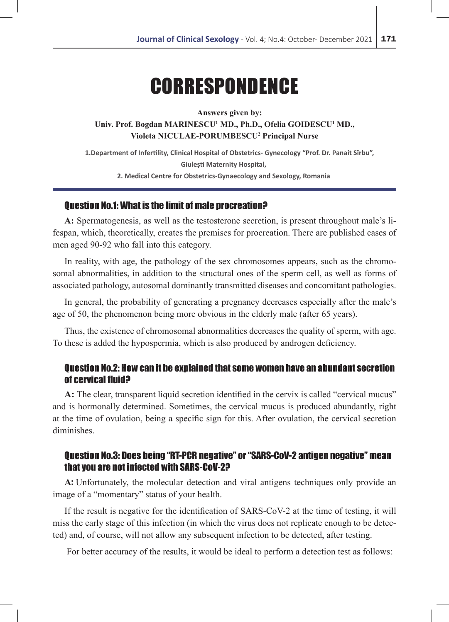# **CORRESPONDENCE**

**Answers given by:**

Univ. Prof. Bogdan MARINESCU<sup>1</sup> MD., Ph.D., Ofelia GOIDESCU<sup>1</sup> MD.,  **Violeta NICULAE-PORUMBESCU2 Principal Nurse** 

**1.Department of Infertility, Clinical Hospital of Obstetrics- Gynecology "Prof. Dr. Panait Sîrbu", Giulești Maternity Hospital, 2. Medical Centre for Obstetrics-Gynaecology and Sexology, Romania**

### Question No.1: What is the limit of male procreation?

**A:** Spermatogenesis, as well as the testosterone secretion, is present throughout male's lifespan, which, theoretically, creates the premises for procreation. There are published cases of men aged 90-92 who fall into this category.

In reality, with age, the pathology of the sex chromosomes appears, such as the chromosomal abnormalities, in addition to the structural ones of the sperm cell, as well as forms of associated pathology, autosomal dominantly transmitted diseases and concomitant pathologies.

In general, the probability of generating a pregnancy decreases especially after the male's age of 50, the phenomenon being more obvious in the elderly male (after 65 years).

Thus, the existence of chromosomal abnormalities decreases the quality of sperm, with age. To these is added the hypospermia, which is also produced by androgen deficiency.

## Question No.2: How can it be explained that some women have an abundant secretion of cervical fluid?

**A:** The clear, transparent liquid secretion identified in the cervix is called "cervical mucus" and is hormonally determined. Sometimes, the cervical mucus is produced abundantly, right at the time of ovulation, being a specific sign for this. After ovulation, the cervical secretion diminishes.

## Question No.3: Does being "RT-PCR negative" or "SARS-CoV-2 antigen negative" mean that you are not infected with SARS-CoV-2?

**A**: Unfortunately, the molecular detection and viral antigens techniques only provide an image of a "momentary" status of your health.

If the result is negative for the identification of SARS-CoV-2 at the time of testing, it will miss the early stage of this infection (in which the virus does not replicate enough to be detected) and, of course, will not allow any subsequent infection to be detected, after testing.

For better accuracy of the results, it would be ideal to perform a detection test as follows: